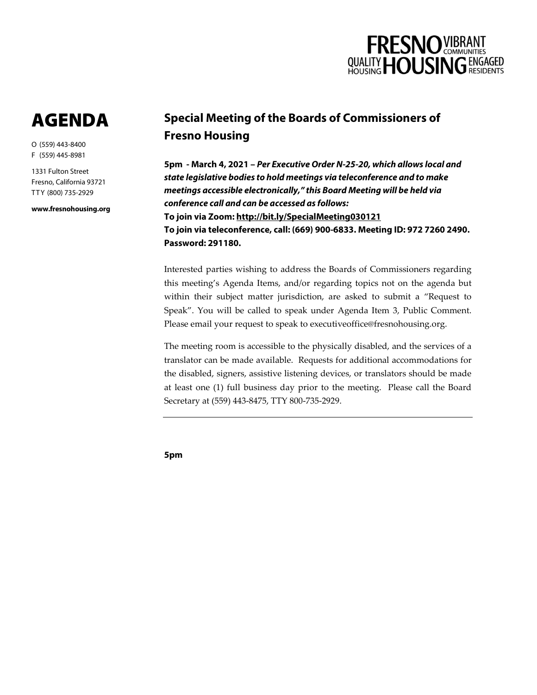

# AGENDA

O (559) 443-8400 F (559) 445-8981

1331 Fulton Street Fresno, California 93721 T T Y (800) 735-2929

**www.fresnohousing.org**

## **Special Meeting of the Boards of Commissioners of Fresno Housing**

**5pm - March 4, 2021 –** *Per Executive Order N-25-20, which allows local and state legislative bodies to hold meetings via teleconference and to make meetings accessible electronically," this Board Meeting will be held via conference call and can be accessed as follows:* **To join via Zoom: http://bit.ly/SpecialMeeting030121 To join via teleconference, call: (669) 900-6833. Meeting ID: 972 7260 2490. Password: 291180.** 

Interested parties wishing to address the Boards of Commissioners regarding this meeting's Agenda Items, and/or regarding topics not on the agenda but within their subject matter jurisdiction, are asked to submit a "Request to Speak". You will be called to speak under Agenda Item 3, Public Comment. Please email your request to speak to executiveoffice@fresnohousing.org.

The meeting room is accessible to the physically disabled, and the services of a translator can be made available. Requests for additional accommodations for the disabled, signers, assistive listening devices, or translators should be made at least one (1) full business day prior to the meeting. Please call the Board Secretary at (559) 443-8475, TTY 800-735-2929.

**5pm**